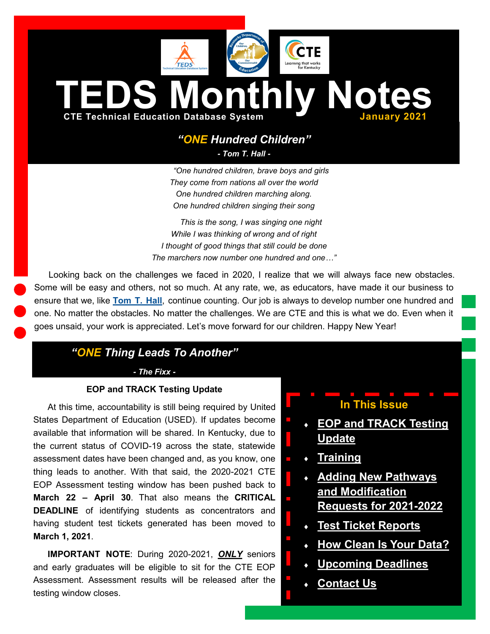<span id="page-0-0"></span>

*"ONE Hundred Children"*

*- Tom T. Hall -*

*"One hundred children, brave boys and girls They come from nations all over the world One hundred children marching along. One hundred children singing their song*

*This is the song, I was singing one night While I was thinking of wrong and of right I thought of good things that still could be done The marchers now number one hundred and one…"*

Looking back on the challenges we faced in 2020, I realize that we will always face new obstacles. Some will be easy and others, not so much. At any rate, we, as educators, have made it our business to ensure that we, like **[Tom T. Hall](https://www.youtube.com/watch?v=wrF3pKQO82M)**, continue counting. Our job is always to develop number one hundred and one. No matter the obstacles. No matter the challenges. We are CTE and this is what we do. Even when it goes unsaid, your work is appreciated. Let's move forward for our children. Happy New Year!

## *"ONE Thing Leads To Another"*

#### *- The Fixx -*

### **EOP and TRACK Testing Update**

At this time, accountability is still being required by United States Department of Education (USED). If updates become available that information will be shared. In Kentucky, due to the current status of COVID-19 across the state, statewide assessment dates have been changed and, as you know, one thing leads to another. With that said, the 2020-2021 CTE EOP Assessment testing window has been pushed back to **March 22 – April 30**. That also means the **CRITICAL DEADLINE** of identifying students as concentrators and having student test tickets generated has been moved to **March 1, 2021**.

**IMPORTANT NOTE**: During 2020-2021, *ONLY* seniors and early graduates will be eligible to sit for the CTE EOP Assessment. Assessment results will be released after the testing window closes.

## **In This Issue**

- **[EOP and TRACK Testing](#page-0-0)  [Update](#page-0-0)**
- **[Training](#page-1-0)**
- **[Adding New Pathways](#page-1-0)  [and Modification](#page-1-0)  [Requests for 2021](#page-1-0)-2022**
- **[Test Ticket Reports](#page-1-0)**
- **[How Clean Is Your Data?](#page-2-0)**
- **[Upcoming Deadlines](#page-2-0)**
- **[Contact Us](#page-2-0)**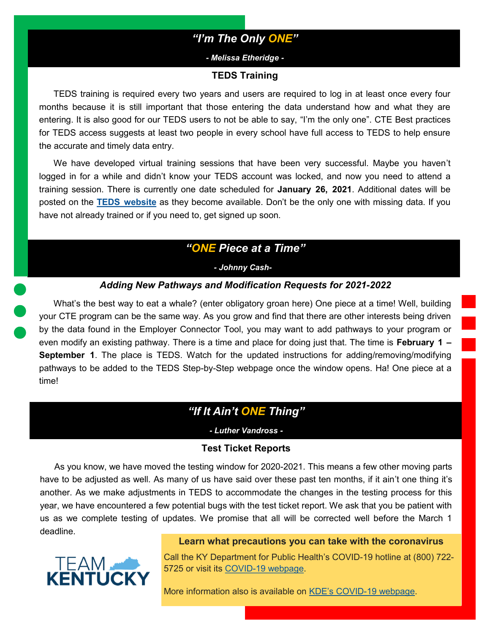# *"I'm The Only ONE"*

*- Melissa Etheridge -*

### **TEDS Training**

<span id="page-1-0"></span>TEDS training is required every two years and users are required to log in at least once every four months because it is still important that those entering the data understand how and what they are entering. It is also good for our TEDS users to not be able to say, "I'm the only one". CTE Best practices for TEDS access suggests at least two people in every school have full access to TEDS to help ensure the accurate and timely data entry.

We have developed virtual training sessions that have been very successful. Maybe you haven't logged in for a while and didn't know your TEDS account was locked, and now you need to attend a training session. There is currently one date scheduled for **January 26, 2021**. Additional dates will be posted on the **[TEDS website](https://education.ky.gov/CTE/teds/Pages/default.aspx)** as they become available. Don't be the only one with missing data. If you have not already trained or if you need to, get signed up soon.

## *"ONE Piece at a Time"*

*- Johnny Cash- -*

#### *Adding New Pathways and Modification Requests for 2021-2022*

What's the best way to eat a whale? (enter obligatory groan here) One piece at a time! Well, building your CTE program can be the same way. As you grow and find that there are other interests being driven by the data found in the Employer Connector Tool, you may want to add pathways to your program or even modify an existing pathway. There is a time and place for doing just that. The time is **February 1 – September 1**. The place is TEDS. Watch for the updated instructions for adding/removing/modifying pathways to be added to the TEDS Step-by-Step webpage once the window opens. Ha! One piece at a time!

# *"If It Ain't ONE Thing"*

*- Luther Vandross -*

### **Test Ticket Reports**

As you know, we have moved the testing window for 2020-2021. This means a few other moving parts have to be adjusted as well. As many of us have said over these past ten months, if it ain't one thing it's another. As we make adjustments in TEDS to accommodate the changes in the testing process for this year, we have encountered a few potential bugs with the test ticket report. We ask that you be patient with us as we complete testing of updates. We promise that all will be corrected well before the March 1 deadline.



### **Learn what precautions you can take with the coronavirus**

Call the KY Department for Public Health's COVID-19 hotline at (800) 722- 5725 or visit its COVID-[19 webpage.](https://chfs.ky.gov/agencies/dph/pages/covid19.aspx)

More information also is available on KDE's COVID-[19 webpage.](https://education.ky.gov/comm/Pages/COVID-19-Updates.aspx)